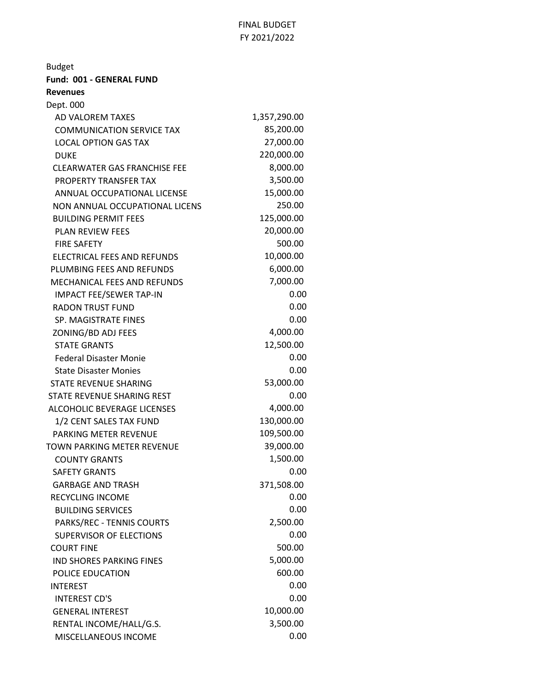| <b>Budget</b>                       |              |
|-------------------------------------|--------------|
| <b>Fund: 001 - GENERAL FUND</b>     |              |
| Revenues                            |              |
| Dept. 000                           |              |
| AD VALOREM TAXES                    | 1,357,290.00 |
| <b>COMMUNICATION SERVICE TAX</b>    | 85,200.00    |
| <b>LOCAL OPTION GAS TAX</b>         | 27,000.00    |
| <b>DUKE</b>                         | 220,000.00   |
| <b>CLEARWATER GAS FRANCHISE FEE</b> | 8,000.00     |
| <b>PROPERTY TRANSFER TAX</b>        | 3,500.00     |
| ANNUAL OCCUPATIONAL LICENSE         | 15,000.00    |
| NON ANNUAL OCCUPATIONAL LICENS      | 250.00       |
| <b>BUILDING PERMIT FEES</b>         | 125,000.00   |
| <b>PLAN REVIEW FEES</b>             | 20,000.00    |
| <b>FIRE SAFETY</b>                  | 500.00       |
| ELECTRICAL FEES AND REFUNDS         | 10,000.00    |
| PLUMBING FEES AND REFUNDS           | 6,000.00     |
| <b>MECHANICAL FEES AND REFUNDS</b>  | 7,000.00     |
| <b>IMPACT FEE/SEWER TAP-IN</b>      | 0.00         |
| <b>RADON TRUST FUND</b>             | 0.00         |
| SP. MAGISTRATE FINES                | 0.00         |
| ZONING/BD ADJ FEES                  | 4,000.00     |
| <b>STATE GRANTS</b>                 | 12,500.00    |
| <b>Federal Disaster Monie</b>       | 0.00         |
| <b>State Disaster Monies</b>        | 0.00         |
| STATE REVENUE SHARING               | 53,000.00    |
| STATE REVENUE SHARING REST          | 0.00         |
| ALCOHOLIC BEVERAGE LICENSES         | 4,000.00     |
| 1/2 CENT SALES TAX FUND             | 130,000.00   |
| PARKING METER REVENUE               | 109,500.00   |
| TOWN PARKING METER REVENUE          | 39,000.00    |
| <b>COUNTY GRANTS</b>                | 1,500.00     |
| <b>SAFETY GRANTS</b>                | 0.00         |
| <b>GARBAGE AND TRASH</b>            | 371,508.00   |
| <b>RECYCLING INCOME</b>             | 0.00         |
| <b>BUILDING SERVICES</b>            | 0.00         |
| PARKS/REC - TENNIS COURTS           | 2,500.00     |
| SUPERVISOR OF ELECTIONS             | 0.00         |
| <b>COURT FINE</b>                   | 500.00       |
| <b>IND SHORES PARKING FINES</b>     | 5,000.00     |
| POLICE EDUCATION                    | 600.00       |
| <b>INTEREST</b>                     | 0.00         |
| <b>INTEREST CD'S</b>                | 0.00         |
| <b>GENERAL INTEREST</b>             | 10,000.00    |
| RENTAL INCOME/HALL/G.S.             | 3,500.00     |
| MISCELLANEOUS INCOME                | 0.00         |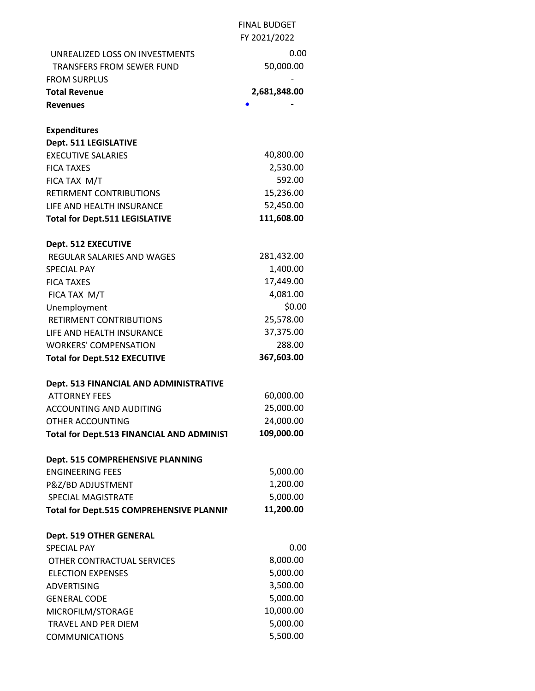|                                           | <b>FINAL BUDGET</b> |
|-------------------------------------------|---------------------|
|                                           | FY 2021/2022        |
| <b>UNREALIZED LOSS ON INVESTMENTS</b>     | 0.00                |
| <b>TRANSFERS FROM SEWER FUND</b>          | 50,000.00           |
| <b>FROM SURPLUS</b>                       |                     |
| <b>Total Revenue</b>                      | 2,681,848.00        |
| <b>Revenues</b>                           |                     |
|                                           |                     |
| <b>Expenditures</b>                       |                     |
| Dept. 511 LEGISLATIVE                     |                     |
| <b>EXECUTIVE SALARIES</b>                 | 40,800.00           |
| <b>FICA TAXES</b>                         | 2,530.00            |
| FICA TAX M/T                              | 592.00              |
| RETIRMENT CONTRIBUTIONS                   | 15,236.00           |
| LIFE AND HEALTH INSURANCE                 | 52,450.00           |
| <b>Total for Dept.511 LEGISLATIVE</b>     | 111,608.00          |
|                                           |                     |
| Dept. 512 EXECUTIVE                       |                     |
| REGULAR SALARIES AND WAGES                | 281,432.00          |
| <b>SPECIAL PAY</b>                        | 1,400.00            |
| <b>FICA TAXES</b>                         | 17,449.00           |
| FICA TAX M/T                              | 4,081.00            |
| Unemployment                              | \$0.00              |
| RETIRMENT CONTRIBUTIONS                   | 25,578.00           |
| LIFE AND HEALTH INSURANCE                 | 37,375.00           |
| <b>WORKERS' COMPENSATION</b>              | 288.00              |
| <b>Total for Dept.512 EXECUTIVE</b>       | 367,603.00          |
|                                           |                     |
| Dept. 513 FINANCIAL AND ADMINISTRATIVE    |                     |
| <b>ATTORNEY FEES</b>                      | 60,000.00           |
| ACCOUNTING AND AUDITING                   | 25,000.00           |
| OTHER ACCOUNTING                          | 24,000.00           |
| Total for Dept.513 FINANCIAL AND ADMINIST | 109,000.00          |
|                                           |                     |
| Dept. 515 COMPREHENSIVE PLANNING          |                     |
| <b>ENGINEERING FEES</b>                   | 5,000.00            |
| P&Z/BD ADJUSTMENT                         | 1,200.00            |
| SPECIAL MAGISTRATE                        | 5,000.00            |
| Total for Dept.515 COMPREHENSIVE PLANNIP  | 11,200.00           |
|                                           |                     |
| Dept. 519 OTHER GENERAL                   |                     |
| <b>SPECIAL PAY</b>                        | 0.00                |
| OTHER CONTRACTUAL SERVICES                | 8,000.00            |
| <b>ELECTION EXPENSES</b>                  | 5,000.00            |
| <b>ADVERTISING</b>                        | 3,500.00            |
| <b>GENERAL CODE</b>                       | 5,000.00            |
| MICROFILM/STORAGE                         | 10,000.00           |
| <b>TRAVEL AND PER DIEM</b>                | 5,000.00            |
| <b>COMMUNICATIONS</b>                     | 5,500.00            |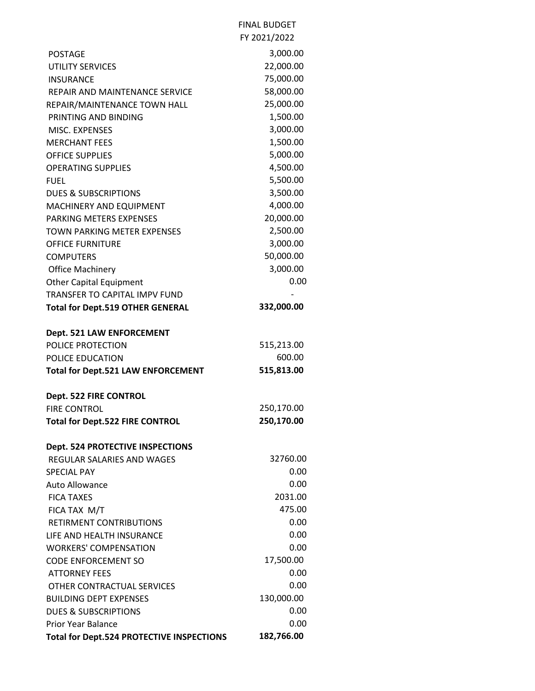|                                                  | <b>FINAL BUDGET</b> |
|--------------------------------------------------|---------------------|
|                                                  | FY 2021/2022        |
| <b>POSTAGE</b>                                   | 3,000.00            |
| <b>UTILITY SERVICES</b>                          | 22,000.00           |
| <b>INSURANCE</b>                                 | 75,000.00           |
| REPAIR AND MAINTENANCE SERVICE                   | 58,000.00           |
| REPAIR/MAINTENANCE TOWN HALL                     | 25,000.00           |
| PRINTING AND BINDING                             | 1,500.00            |
| MISC. EXPENSES                                   | 3,000.00            |
| <b>MERCHANT FEES</b>                             | 1,500.00            |
| <b>OFFICE SUPPLIES</b>                           | 5,000.00            |
| <b>OPERATING SUPPLIES</b>                        | 4,500.00            |
| <b>FUEL</b>                                      | 5,500.00            |
| <b>DUES &amp; SUBSCRIPTIONS</b>                  | 3,500.00            |
| MACHINERY AND EQUIPMENT                          | 4,000.00            |
| PARKING METERS EXPENSES                          | 20,000.00           |
| TOWN PARKING METER EXPENSES                      | 2,500.00            |
| <b>OFFICE FURNITURE</b>                          | 3,000.00            |
| <b>COMPUTERS</b>                                 | 50,000.00           |
| <b>Office Machinery</b>                          | 3,000.00            |
| <b>Other Capital Equipment</b>                   | 0.00                |
| TRANSFER TO CAPITAL IMPV FUND                    |                     |
| <b>Total for Dept.519 OTHER GENERAL</b>          | 332,000.00          |
| Dept. 521 LAW ENFORCEMENT                        |                     |
| POLICE PROTECTION                                | 515,213.00          |
| POLICE EDUCATION                                 | 600.00              |
| <b>Total for Dept.521 LAW ENFORCEMENT</b>        | 515,813.00          |
| Dept. 522 FIRE CONTROL                           |                     |
| FIRE CONTROL                                     | 250.170.00          |
| <b>Total for Dept.522 FIRE CONTROL</b>           | 250,170.00          |
| <b>Dept. 524 PROTECTIVE INSPECTIONS</b>          |                     |
| <b>REGULAR SALARIES AND WAGES</b>                | 32760.00            |
| <b>SPECIAL PAY</b>                               | 0.00                |
| <b>Auto Allowance</b>                            | 0.00                |
| <b>FICA TAXES</b>                                | 2031.00             |
| FICA TAX M/T                                     | 475.00              |
| <b>RETIRMENT CONTRIBUTIONS</b>                   | 0.00                |
| LIFE AND HEALTH INSURANCE                        | 0.00                |
| <b>WORKERS' COMPENSATION</b>                     | 0.00                |
| <b>CODE ENFORCEMENT SO</b>                       | 17,500.00           |
| <b>ATTORNEY FEES</b>                             | 0.00                |
| OTHER CONTRACTUAL SERVICES                       | 0.00                |
| <b>BUILDING DEPT EXPENSES</b>                    | 130,000.00          |
| <b>DUES &amp; SUBSCRIPTIONS</b>                  | 0.00                |
| Prior Year Balance                               | 0.00                |
| <b>Total for Dept.524 PROTECTIVE INSPECTIONS</b> | 182,766.00          |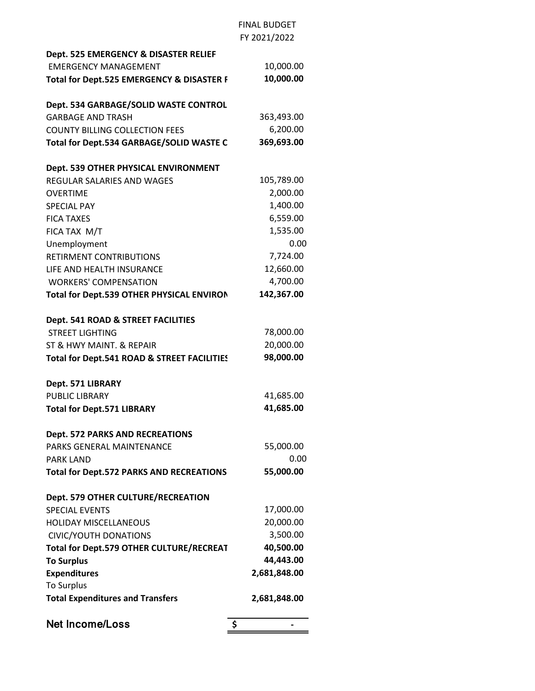|                                                 | <b>FINAL BUDGET</b> |
|-------------------------------------------------|---------------------|
|                                                 | FY 2021/2022        |
| Dept. 525 EMERGENCY & DISASTER RELIEF           |                     |
| <b>EMERGENCY MANAGEMENT</b>                     | 10,000.00           |
| Total for Dept.525 EMERGENCY & DISASTER F       | 10,000.00           |
|                                                 |                     |
| Dept. 534 GARBAGE/SOLID WASTE CONTROL           |                     |
| <b>GARBAGE AND TRASH</b>                        | 363,493.00          |
| <b>COUNTY BILLING COLLECTION FEES</b>           | 6,200.00            |
| Total for Dept.534 GARBAGE/SOLID WASTE C        | 369,693.00          |
| Dept. 539 OTHER PHYSICAL ENVIRONMENT            |                     |
| REGULAR SALARIES AND WAGES                      | 105,789.00          |
| <b>OVERTIME</b>                                 | 2,000.00            |
| <b>SPECIAL PAY</b>                              | 1,400.00            |
| <b>FICA TAXES</b>                               | 6,559.00            |
| FICA TAX M/T                                    | 1,535.00            |
| Unemployment                                    | 0.00                |
| RETIRMENT CONTRIBUTIONS                         | 7,724.00            |
| LIFE AND HEALTH INSURANCE                       | 12,660.00           |
| <b>WORKERS' COMPENSATION</b>                    | 4,700.00            |
| Total for Dept.539 OTHER PHYSICAL ENVIRON       | 142,367.00          |
| Dept. 541 ROAD & STREET FACILITIES              |                     |
| <b>STREET LIGHTING</b>                          | 78,000.00           |
| ST & HWY MAINT. & REPAIR                        | 20,000.00           |
| Total for Dept.541 ROAD & STREET FACILITIES     | 98,000.00           |
|                                                 |                     |
| Dept. 571 LIBRARY                               |                     |
| <b>PUBLIC LIBRARY</b>                           | 41,685.00           |
| <b>Total for Dept.571 LIBRARY</b>               | 41,685.00           |
| <b>Dept. 572 PARKS AND RECREATIONS</b>          |                     |
| PARKS GENERAL MAINTENANCE                       | 55,000.00           |
| <b>PARK LAND</b>                                | 0.00                |
| <b>Total for Dept.572 PARKS AND RECREATIONS</b> | 55,000.00           |
| Dept. 579 OTHER CULTURE/RECREATION              |                     |
| <b>SPECIAL EVENTS</b>                           | 17,000.00           |
| <b>HOLIDAY MISCELLANEOUS</b>                    | 20,000.00           |
| <b>CIVIC/YOUTH DONATIONS</b>                    | 3,500.00            |
| Total for Dept.579 OTHER CULTURE/RECREAT        | 40,500.00           |
| <b>To Surplus</b>                               | 44,443.00           |
| <b>Expenditures</b>                             | 2,681,848.00        |
| <b>To Surplus</b>                               |                     |
| <b>Total Expenditures and Transfers</b>         | 2,681,848.00        |
| Net Income/Loss                                 | \$                  |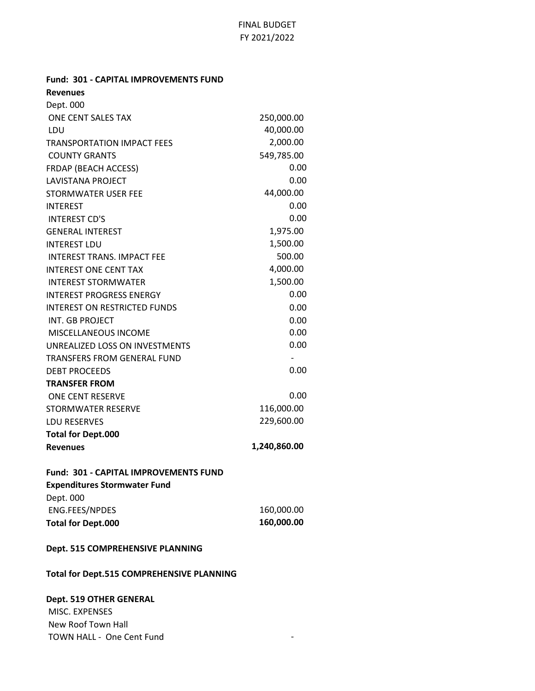**Fund: 301 - CAPITAL IMPROVEMENTS FUND**

| Revenues                              |              |
|---------------------------------------|--------------|
| Dept. 000                             |              |
| <b>ONE CENT SALES TAX</b>             | 250,000.00   |
| LDU                                   | 40,000.00    |
| <b>TRANSPORTATION IMPACT FEES</b>     | 2,000.00     |
| <b>COUNTY GRANTS</b>                  | 549,785.00   |
| <b>FRDAP (BEACH ACCESS)</b>           | 0.00         |
| LAVISTANA PROJECT                     | 0.00         |
| STORMWATER USER FEE                   | 44,000.00    |
| <b>INTEREST</b>                       | 0.00         |
| <b>INTEREST CD'S</b>                  | 0.00         |
| <b>GENERAL INTEREST</b>               | 1,975.00     |
| <b>INTEREST LDU</b>                   | 1,500.00     |
| <b>INTEREST TRANS. IMPACT FEE</b>     | 500.00       |
| <b>INTEREST ONE CENT TAX</b>          | 4,000.00     |
| <b>INTEREST STORMWATER</b>            | 1,500.00     |
| <b>INTEREST PROGRESS ENERGY</b>       | 0.00         |
| <b>INTEREST ON RESTRICTED FUNDS</b>   | 0.00         |
| INT. GB PROJECT                       | 0.00         |
| <b>MISCELLANEOUS INCOME</b>           | 0.00         |
| <b>UNREALIZED LOSS ON INVESTMENTS</b> | 0.00         |
| <b>TRANSFERS FROM GENERAL FUND</b>    |              |
| <b>DEBT PROCEEDS</b>                  | 0.00         |
| <b>TRANSFER FROM</b>                  |              |
| <b>ONE CENT RESERVE</b>               | 0.00         |
| STORMWATER RESERVE                    | 116,000.00   |
| <b>LDU RESERVES</b>                   | 229,600.00   |
| <b>Total for Dept.000</b>             |              |
| <b>Revenues</b>                       | 1,240,860.00 |

## **Fund: 301 - CAPITAL IMPROVEMENTS FUND Expenditures Stormwater Fund** Dept. 000 ENG.FEES/NPDES 160,000.00 **Total for Dept.000 160,000.00**

#### **Dept. 515 COMPREHENSIVE PLANNING**

#### **Total for Dept.515 COMPREHENSIVE PLANNING**

**Dept. 519 OTHER GENERAL**

 MISC. EXPENSES New Roof Town Hall TOWN HALL - One Cent Fund TOWN HALL - One Cent Fund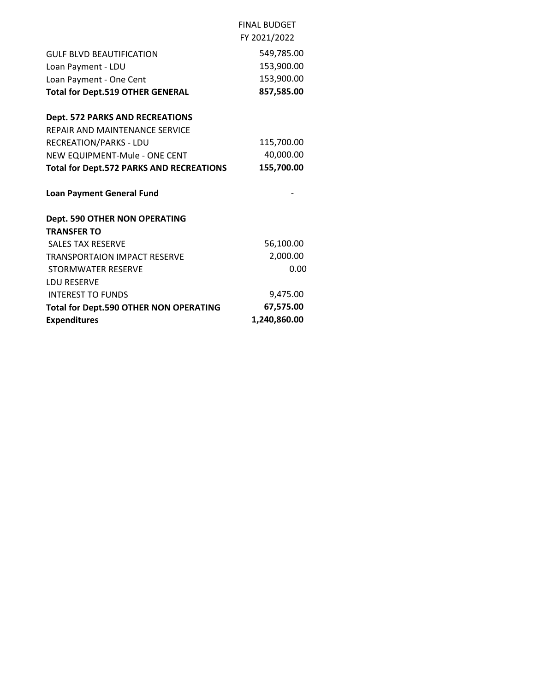|                                                 | <b>FINAL BUDGET</b><br>FY 2021/2022 |
|-------------------------------------------------|-------------------------------------|
| <b>GULF BLVD BEAUTIFICATION</b>                 | 549,785.00                          |
| Loan Payment - LDU                              | 153,900.00                          |
| Loan Payment - One Cent                         | 153,900.00                          |
| <b>Total for Dept.519 OTHER GENERAL</b>         | 857,585.00                          |
| <b>Dept. 572 PARKS AND RECREATIONS</b>          |                                     |
| REPAIR AND MAINTENANCE SERVICE                  |                                     |
| <b>RECREATION/PARKS - LDU</b>                   | 115,700.00                          |
| NEW EQUIPMENT-Mule - ONE CENT                   | 40,000.00                           |
| <b>Total for Dept.572 PARKS AND RECREATIONS</b> | 155,700.00                          |
| <b>Loan Payment General Fund</b>                |                                     |
| <b>Dept. 590 OTHER NON OPERATING</b>            |                                     |
| <b>TRANSFER TO</b>                              |                                     |
| <b>SALES TAX RESERVE</b>                        | 56,100.00                           |
| <b>TRANSPORTAION IMPACT RESERVE</b>             | 2,000.00                            |
| STORMWATER RESERVE                              | 0.00                                |
| <b>LDU RESERVE</b>                              |                                     |
| <b>INTEREST TO FUNDS</b>                        | 9,475.00                            |
| <b>Total for Dept.590 OTHER NON OPERATING</b>   | 67,575.00                           |
| <b>Expenditures</b>                             | 1,240,860.00                        |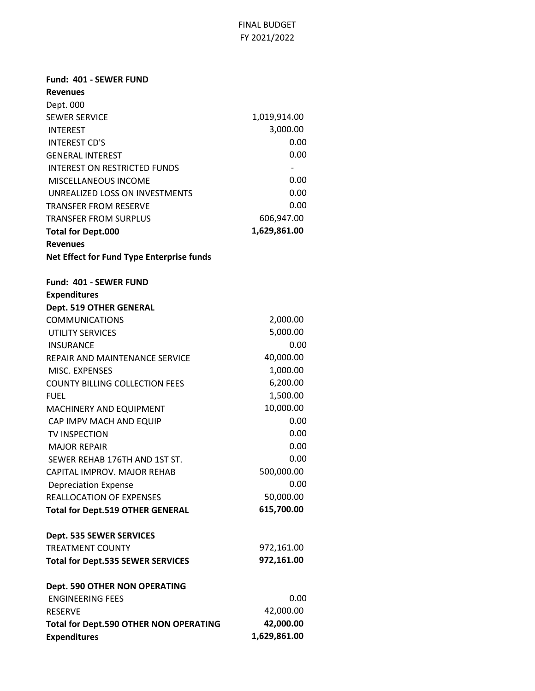### FINAL BUDGET FY 2021/2022

| Fund: 401 - SEWER FUND                                               |                           |
|----------------------------------------------------------------------|---------------------------|
| <b>Revenues</b>                                                      |                           |
| Dept. 000                                                            |                           |
| <b>SEWER SERVICE</b>                                                 | 1,019,914.00              |
| <b>INTEREST</b>                                                      | 3,000.00<br>0.00          |
| <b>INTEREST CD'S</b><br><b>GENERAL INTEREST</b>                      | 0.00                      |
| <b>INTEREST ON RESTRICTED FUNDS</b>                                  |                           |
| <b>MISCELLANEOUS INCOME</b>                                          | 0.00                      |
| UNREALIZED LOSS ON INVESTMENTS                                       | 0.00                      |
| <b>TRANSFER FROM RESERVE</b>                                         | 0.00                      |
| <b>TRANSFER FROM SURPLUS</b>                                         | 606,947.00                |
| <b>Total for Dept.000</b>                                            | 1,629,861.00              |
| <b>Revenues</b>                                                      |                           |
| <b>Net Effect for Fund Type Enterprise funds</b>                     |                           |
| Fund: 401 - SEWER FUND                                               |                           |
| <b>Expenditures</b>                                                  |                           |
| Dept. 519 OTHER GENERAL                                              |                           |
| <b>COMMUNICATIONS</b>                                                | 2,000.00                  |
| <b>UTILITY SERVICES</b>                                              | 5,000.00                  |
| <b>INSURANCE</b>                                                     | 0.00                      |
| REPAIR AND MAINTENANCE SERVICE                                       | 40,000.00                 |
| MISC. EXPENSES                                                       | 1,000.00                  |
| <b>COUNTY BILLING COLLECTION FEES</b>                                | 6,200.00                  |
| <b>FUEL</b>                                                          | 1,500.00                  |
| MACHINERY AND EQUIPMENT                                              | 10,000.00                 |
| CAP IMPV MACH AND EQUIP                                              | 0.00                      |
| TV INSPECTION                                                        | 0.00                      |
| <b>MAJOR REPAIR</b>                                                  | 0.00                      |
| SEWER REHAB 176TH AND 1ST ST.                                        | 0.00                      |
| CAPITAL IMPROV. MAJOR REHAB                                          | 500,000.00                |
| <b>Depreciation Expense</b>                                          | 0.00                      |
| <b>REALLOCATION OF EXPENSES</b>                                      | 50,000.00                 |
| <b>Total for Dept.519 OTHER GENERAL</b>                              | 615,700.00                |
| Dept. 535 SEWER SERVICES                                             |                           |
| <b>TREATMENT COUNTY</b>                                              | 972,161.00                |
| <b>Total for Dept.535 SEWER SERVICES</b>                             | 972,161.00                |
| <b>Dept. 590 OTHER NON OPERATING</b>                                 |                           |
| <b>ENGINEERING FEES</b>                                              | 0.00                      |
| <b>RESERVE</b>                                                       | 42,000.00                 |
| <b>Total for Dept.590 OTHER NON OPERATING</b><br><b>Expenditures</b> | 42,000.00<br>1,629,861.00 |